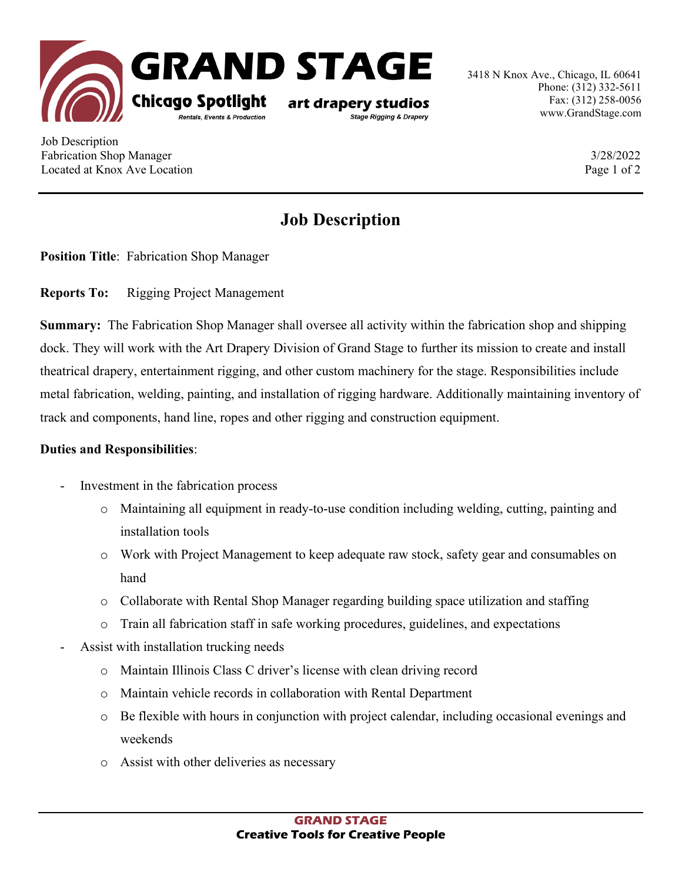

3418 N Knox Ave., Chicago, IL 60641 Phone: (312) 332-5611 Fax: (312) 258-0056 www.GrandStage.com

Job Description Fabrication Shop Manager 3/28/2022 Located at Knox Ave Location **Page 1** of 2

## **Job Description**

**Position Title**: Fabrication Shop Manager

**Reports To:** Rigging Project Management

**Summary:** The Fabrication Shop Manager shall oversee all activity within the fabrication shop and shipping dock. They will work with the Art Drapery Division of Grand Stage to further its mission to create and install theatrical drapery, entertainment rigging, and other custom machinery for the stage. Responsibilities include metal fabrication, welding, painting, and installation of rigging hardware. Additionally maintaining inventory of track and components, hand line, ropes and other rigging and construction equipment.

## **Duties and Responsibilities**:

- Investment in the fabrication process
	- o Maintaining all equipment in ready-to-use condition including welding, cutting, painting and installation tools
	- o Work with Project Management to keep adequate raw stock, safety gear and consumables on hand
	- o Collaborate with Rental Shop Manager regarding building space utilization and staffing
	- o Train all fabrication staff in safe working procedures, guidelines, and expectations
- Assist with installation trucking needs
	- o Maintain Illinois Class C driver's license with clean driving record
	- o Maintain vehicle records in collaboration with Rental Department
	- o Be flexible with hours in conjunction with project calendar, including occasional evenings and weekends
	- o Assist with other deliveries as necessary